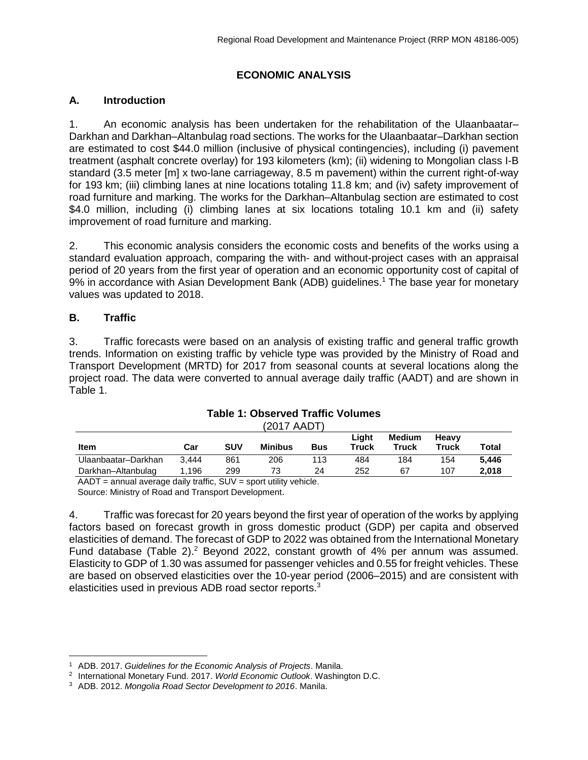# **ECONOMIC ANALYSIS**

# **A. Introduction**

1. An economic analysis has been undertaken for the rehabilitation of the Ulaanbaatar– Darkhan and Darkhan–Altanbulag road sections. The works for the Ulaanbaatar–Darkhan section are estimated to cost \$44.0 million (inclusive of physical contingencies), including (i) pavement treatment (asphalt concrete overlay) for 193 kilometers (km); (ii) widening to Mongolian class I-B standard (3.5 meter [m] x two-lane carriageway, 8.5 m pavement) within the current right-of-way for 193 km; (iii) climbing lanes at nine locations totaling 11.8 km; and (iv) safety improvement of road furniture and marking. The works for the Darkhan–Altanbulag section are estimated to cost \$4.0 million, including (i) climbing lanes at six locations totaling 10.1 km and (ii) safety improvement of road furniture and marking.

2. This economic analysis considers the economic costs and benefits of the works using a standard evaluation approach, comparing the with- and without-project cases with an appraisal period of 20 years from the first year of operation and an economic opportunity cost of capital of 9% in accordance with Asian Development Bank (ADB) guidelines. <sup>1</sup> The base year for monetary values was updated to 2018.

# **B. Traffic**

3. Traffic forecasts were based on an analysis of existing traffic and general traffic growth trends. Information on existing traffic by vehicle type was provided by the Ministry of Road and Transport Development (MRTD) for 2017 from seasonal counts at several locations along the project road. The data were converted to annual average daily traffic (AADT) and are shown in [Table 1.](#page-0-0)

<span id="page-0-0"></span>

|                     |       |            | 12017 AAD 11   |            |                |                 |                       |       |
|---------------------|-------|------------|----------------|------------|----------------|-----------------|-----------------------|-------|
| Item                | Car   | <b>SUV</b> | <b>Minibus</b> | <b>Bus</b> | Liaht<br>Truck | Medium<br>Truck | <b>Heavy</b><br>Truck | Total |
| Ulaanbaatar-Darkhan | 3.444 | 861        | 206            | 113        | 484            | 184             | 154                   | 5.446 |
| Darkhan-Altanbulag  | 1.196 | 299        | 73             | 24         | 252            | 67              | 107                   | 2.018 |
|                     |       | ______     |                |            |                |                 |                       |       |

#### **Table 1: Observed Traffic Volumes**  (2017 AADT)

 $AADT =$  annual average daily traffic,  $SUV =$  sport utility vehicle.

Source: Ministry of Road and Transport Development.

4. Traffic was forecast for 20 years beyond the first year of operation of the works by applying factors based on forecast growth in gross domestic product (GDP) per capita and observed elasticities of demand. The forecast of GDP to 2022 was obtained from the International Monetary Fund database (Table 2).<sup>2</sup> Beyond 2022, constant growth of 4% per annum was assumed. Elasticity to GDP of 1.30 was assumed for passenger vehicles and 0.55 for freight vehicles. These are based on observed elasticities over the 10-year period (2006–2015) and are consistent with elasticities used in previous ADB road sector reports.<sup>3</sup>

 $\overline{a}$ <sup>1</sup> ADB. 2017. *Guidelines for the Economic Analysis of Projects*. Manila.

<sup>2</sup> International Monetary Fund. 2017. *World Economic Outlook*. Washington D.C.

<sup>3</sup> ADB. 2012. *Mongolia Road Sector Development to 2016*. Manila.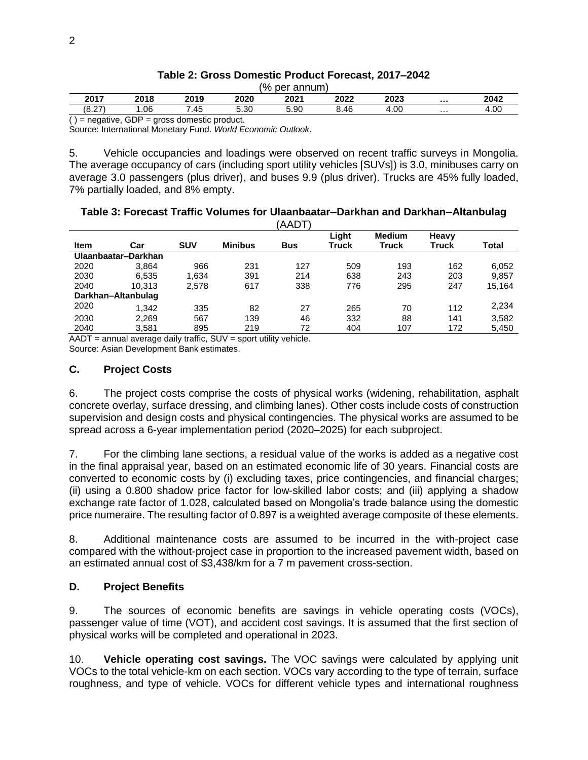| (% per annum) |                                               |      |      |      |      |      |   |      |  |  |
|---------------|-----------------------------------------------|------|------|------|------|------|---|------|--|--|
| 2017          | 2018                                          | 2019 | 2020 | 2021 | 2022 | 2023 |   | 2042 |  |  |
| (8.27)        | .06                                           | 7.45 | 5.30 | 5.90 | 8.46 | 4.00 | . | 4.00 |  |  |
|               | $i =$ negative, GDP = gross domestic product. |      |      |      |      |      |   |      |  |  |

## **Table 2: Gross Domestic Product Forecast, 2017–2042**

Source: International Monetary Fund. *World Economic Outlook*.

5. Vehicle occupancies and loadings were observed on recent traffic surveys in Mongolia. The average occupancy of cars (including sport utility vehicles [SUVs]) is 3.0, minibuses carry on average 3.0 passengers (plus driver), and buses 9.9 (plus driver). Trucks are 45% fully loaded, 7% partially loaded, and 8% empty.

### **Table 3: Forecast Traffic Volumes for Ulaanbaatar–Darkhan and Darkhan–Altanbulag**   $(ABAT)$

| Light<br><b>Medium</b><br>Heavy<br><b>SUV</b><br><b>Minibus</b><br>Total<br>Item<br>Truck<br>Truck<br>Truck<br><b>Bus</b><br>Car<br>Ulaanbaatar-Darkhan<br>966<br>231<br>127<br>509<br>2020<br>193<br>162<br>6,052<br>3,864 |      |       |       |     | AADI |     |     |     |       |
|-----------------------------------------------------------------------------------------------------------------------------------------------------------------------------------------------------------------------------|------|-------|-------|-----|------|-----|-----|-----|-------|
|                                                                                                                                                                                                                             |      |       |       |     |      |     |     |     |       |
|                                                                                                                                                                                                                             |      |       |       |     |      |     |     |     |       |
|                                                                                                                                                                                                                             |      |       |       |     |      |     |     |     |       |
|                                                                                                                                                                                                                             | 2030 | 6.535 | 1.634 | 391 | 214  | 638 | 243 | 203 | 9.857 |
| 2040<br>338<br>776<br>295<br>617<br>247<br>15,164<br>10.313<br>2.578                                                                                                                                                        |      |       |       |     |      |     |     |     |       |
| Darkhan-Altanbulag                                                                                                                                                                                                          |      |       |       |     |      |     |     |     |       |
| 2,234<br>2020<br>1.342<br>82<br>265<br>335<br>27<br>70<br>112                                                                                                                                                               |      |       |       |     |      |     |     |     |       |
| 2030<br>332<br>3,582<br>2,269<br>567<br>139<br>88<br>141<br>46                                                                                                                                                              |      |       |       |     |      |     |     |     |       |
| 219<br>172<br>2040<br>895<br>404<br>107<br>3,581<br>72<br>5,450                                                                                                                                                             |      |       |       |     |      |     |     |     |       |

 $AADT =$  annual average daily traffic,  $SUV =$  sport utility vehicle. Source: Asian Development Bank estimates.

# **C. Project Costs**

6. The project costs comprise the costs of physical works (widening, rehabilitation, asphalt concrete overlay, surface dressing, and climbing lanes). Other costs include costs of construction supervision and design costs and physical contingencies. The physical works are assumed to be spread across a 6-year implementation period (2020–2025) for each subproject.

7. For the climbing lane sections, a residual value of the works is added as a negative cost in the final appraisal year, based on an estimated economic life of 30 years. Financial costs are converted to economic costs by (i) excluding taxes, price contingencies, and financial charges; (ii) using a 0.800 shadow price factor for low-skilled labor costs; and (iii) applying a shadow exchange rate factor of 1.028, calculated based on Mongolia's trade balance using the domestic price numeraire. The resulting factor of 0.897 is a weighted average composite of these elements.

8. Additional maintenance costs are assumed to be incurred in the with-project case compared with the without-project case in proportion to the increased pavement width, based on an estimated annual cost of \$3,438/km for a 7 m pavement cross-section.

# **D. Project Benefits**

9. The sources of economic benefits are savings in vehicle operating costs (VOCs), passenger value of time (VOT), and accident cost savings. It is assumed that the first section of physical works will be completed and operational in 2023.

10. **Vehicle operating cost savings.** The VOC savings were calculated by applying unit VOCs to the total vehicle-km on each section. VOCs vary according to the type of terrain, surface roughness, and type of vehicle. VOCs for different vehicle types and international roughness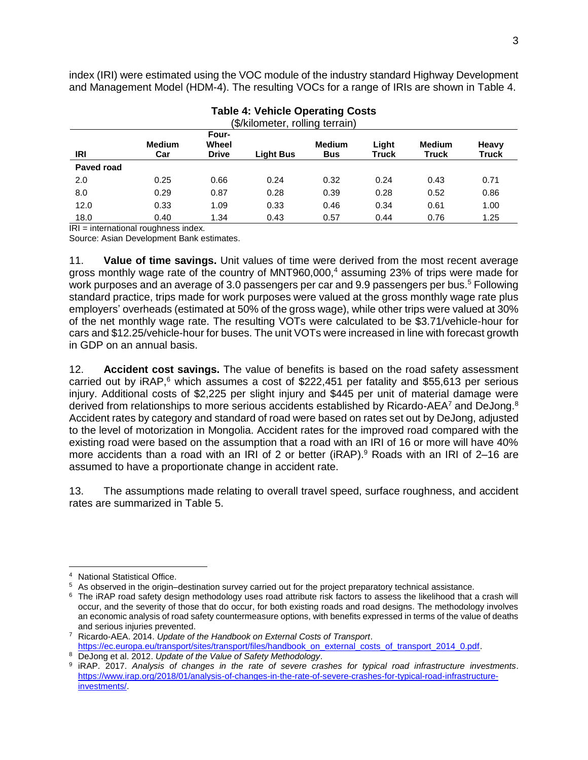index (IRI) were estimated using the VOC module of the industry standard Highway Development and Management Model (HDM-4). The resulting VOCs for a range of IRIs are shown in Table 4.

| (\$/kilometer, rolling terrain) |                      |                                |                  |                             |                |                               |                       |  |  |
|---------------------------------|----------------------|--------------------------------|------------------|-----------------------------|----------------|-------------------------------|-----------------------|--|--|
| IRI                             | <b>Medium</b><br>Car | Four-<br>Wheel<br><b>Drive</b> | <b>Light Bus</b> | <b>Medium</b><br><b>Bus</b> | Light<br>Truck | <b>Medium</b><br><b>Truck</b> | Heavy<br><b>Truck</b> |  |  |
| Paved road                      |                      |                                |                  |                             |                |                               |                       |  |  |
| 2.0                             | 0.25                 | 0.66                           | 0.24             | 0.32                        | 0.24           | 0.43                          | 0.71                  |  |  |
| 8.0                             | 0.29                 | 0.87                           | 0.28             | 0.39                        | 0.28           | 0.52                          | 0.86                  |  |  |
| 12.0                            | 0.33                 | 1.09                           | 0.33             | 0.46                        | 0.34           | 0.61                          | 1.00                  |  |  |
| 18.0                            | 0.40                 | 1.34                           | 0.43             | 0.57                        | 0.44           | 0.76                          | 1.25                  |  |  |

# **Table 4: Vehicle Operating Costs**

 $IRI =$  international roughness index.

Source: Asian Development Bank estimates.

11. **Value of time savings.** Unit values of time were derived from the most recent average gross monthly wage rate of the country of MNT960,000,<sup>4</sup> assuming 23% of trips were made for work purposes and an average of 3.0 passengers per car and 9.9 passengers per bus.<sup>5</sup> Following standard practice, trips made for work purposes were valued at the gross monthly wage rate plus employers' overheads (estimated at 50% of the gross wage), while other trips were valued at 30% of the net monthly wage rate. The resulting VOTs were calculated to be \$3.71/vehicle-hour for cars and \$12.25/vehicle-hour for buses. The unit VOTs were increased in line with forecast growth in GDP on an annual basis.

12. **Accident cost savings.** The value of benefits is based on the road safety assessment carried out by iRAP,<sup>6</sup> which assumes a cost of \$222,451 per fatality and \$55,613 per serious injury. Additional costs of \$2,225 per slight injury and \$445 per unit of material damage were derived from relationships to more serious accidents established by Ricardo-AEA<sup>7</sup> and DeJong.<sup>8</sup> Accident rates by category and standard of road were based on rates set out by DeJong, adjusted to the level of motorization in Mongolia. Accident rates for the improved road compared with the existing road were based on the assumption that a road with an IRI of 16 or more will have 40% more accidents than a road with an IRI of 2 or better (iRAP).<sup>9</sup> Roads with an IRI of 2-16 are assumed to have a proportionate change in accident rate.

13. The assumptions made relating to overall travel speed, surface roughness, and accident rates are summarized in Table 5.

 $\overline{a}$ 

<sup>4</sup> National Statistical Office.

<sup>5</sup> As observed in the origin–destination survey carried out for the project preparatory technical assistance.

<sup>&</sup>lt;sup>6</sup> The iRAP road safety design methodology uses road attribute risk factors to assess the likelihood that a crash will occur, and the severity of those that do occur, for both existing roads and road designs. The methodology involves an economic analysis of road safety countermeasure options, with benefits expressed in terms of the value of deaths and serious injuries prevented.

<sup>7</sup> Ricardo-AEA. 2014. *Update of the Handbook on External Costs of Transport*. [https://ec.europa.eu/transport/sites/transport/files/handbook\\_on\\_external\\_costs\\_of\\_transport\\_2014\\_0.pdf.](https://ec.europa.eu/transport/sites/transport/files/handbook_on_external_costs_of_transport_2014_0.pdf)

<sup>8</sup> DeJong et al. 2012. *Update of the Value of Safety Methodology*.

<sup>9</sup> iRAP. 2017. *Analysis of changes in the rate of severe crashes for typical road infrastructure investments*. [https://www.irap.org/2018/01/analysis-of-changes-in-the-rate-of-severe-crashes-for-typical-road-infrastructure](https://www.irap.org/2018/01/analysis-of-changes-in-the-rate-of-severe-crashes-for-typical-road-infrastructure-investments/)[investments/.](https://www.irap.org/2018/01/analysis-of-changes-in-the-rate-of-severe-crashes-for-typical-road-infrastructure-investments/)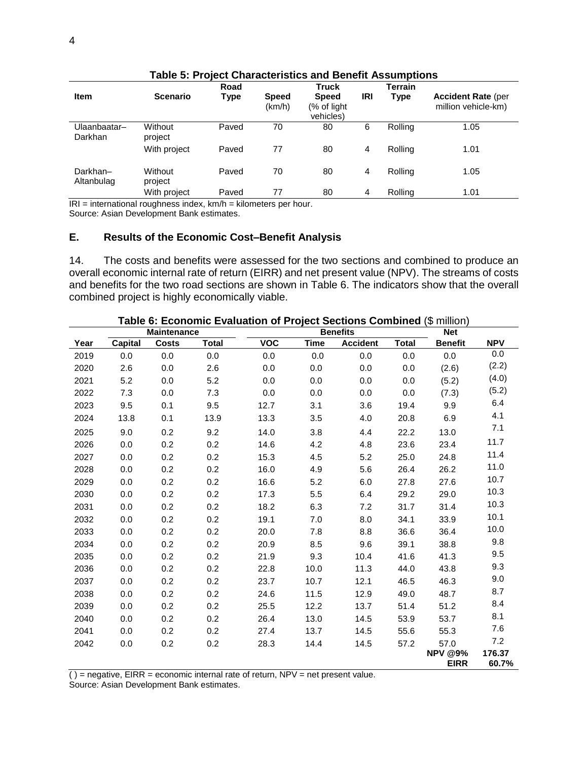|                         |                                                         | Road  |                                          | <b>Truck</b>                             |     | Terrain |                                                  |
|-------------------------|---------------------------------------------------------|-------|------------------------------------------|------------------------------------------|-----|---------|--------------------------------------------------|
| <b>Item</b>             | <b>Scenario</b>                                         | Type  | <b>Speed</b><br>(km/h)                   | <b>Speed</b><br>(% of light<br>vehicles) | IRI | Type    | <b>Accident Rate (per</b><br>million vehicle-km) |
| Ulaanbaatar–<br>Darkhan | Without<br>project                                      | Paved | 70                                       | 80                                       | 6   | Rolling | 1.05                                             |
|                         | With project                                            | Paved | 77                                       | 80                                       | 4   | Rolling | 1.01                                             |
| Darkhan-<br>Altanbulag  | Without<br>project                                      | Paved | 70                                       | 80                                       | 4   | Rolling | 1.05                                             |
| י הי                    | With project<br>interestional recordinate index. Irrela | Paved | 77<br>المتناصبا وتحاجر بمواطنه والمحاذيا | 80                                       | 4   | Rolling | 1.01                                             |

# **Table 5: Project Characteristics and Benefit Assumptions**

IRI = international roughness index, km/h = kilometers per hour.

Source: Asian Development Bank estimates.

## **E. Results of the Economic Cost–Benefit Analysis**

14. The costs and benefits were assessed for the two sections and combined to produce an overall economic internal rate of return (EIRR) and net present value (NPV). The streams of costs and benefits for the two road sections are shown in Table 6. The indicators show that the overall combined project is highly economically viable.

| <b>Maintenance</b> |         |              |              | $\frac{1}{2}$<br><b>Benefits</b> |             |                 |              |                               |                 |
|--------------------|---------|--------------|--------------|----------------------------------|-------------|-----------------|--------------|-------------------------------|-----------------|
| Year               | Capital | <b>Costs</b> | <b>Total</b> | <b>VOC</b>                       | <b>Time</b> | <b>Accident</b> | <b>Total</b> | <b>Benefit</b>                | <b>NPV</b>      |
| 2019               | 0.0     | 0.0          | 0.0          | 0.0                              | 0.0         | 0.0             | 0.0          | 0.0                           | 0.0             |
| 2020               | 2.6     | 0.0          | 2.6          | 0.0                              | 0.0         | 0.0             | 0.0          | (2.6)                         | (2.2)           |
| 2021               | 5.2     | 0.0          | 5.2          | 0.0                              | 0.0         | 0.0             | 0.0          | (5.2)                         | (4.0)           |
| 2022               | 7.3     | 0.0          | 7.3          | 0.0                              | 0.0         | 0.0             | 0.0          | (7.3)                         | (5.2)           |
| 2023               | 9.5     | 0.1          | 9.5          | 12.7                             | 3.1         | 3.6             | 19.4         | 9.9                           | 6.4             |
| 2024               | 13.8    | 0.1          | 13.9         | 13.3                             | 3.5         | 4.0             | 20.8         | 6.9                           | 4.1             |
| 2025               | 9.0     | 0.2          | 9.2          | 14.0                             | 3.8         | 4.4             | 22.2         | 13.0                          | 7.1             |
| 2026               | 0.0     | 0.2          | 0.2          | 14.6                             | 4.2         | 4.8             | 23.6         | 23.4                          | 11.7            |
| 2027               | 0.0     | 0.2          | 0.2          | 15.3                             | 4.5         | 5.2             | 25.0         | 24.8                          | 11.4            |
| 2028               | 0.0     | 0.2          | 0.2          | 16.0                             | 4.9         | 5.6             | 26.4         | 26.2                          | 11.0            |
| 2029               | 0.0     | 0.2          | 0.2          | 16.6                             | 5.2         | 6.0             | 27.8         | 27.6                          | 10.7            |
| 2030               | 0.0     | 0.2          | 0.2          | 17.3                             | 5.5         | 6.4             | 29.2         | 29.0                          | 10.3            |
| 2031               | 0.0     | 0.2          | 0.2          | 18.2                             | 6.3         | 7.2             | 31.7         | 31.4                          | 10.3            |
| 2032               | 0.0     | 0.2          | 0.2          | 19.1                             | 7.0         | 8.0             | 34.1         | 33.9                          | 10.1            |
| 2033               | 0.0     | 0.2          | 0.2          | 20.0                             | 7.8         | 8.8             | 36.6         | 36.4                          | 10.0            |
| 2034               | 0.0     | 0.2          | 0.2          | 20.9                             | 8.5         | 9.6             | 39.1         | 38.8                          | 9.8             |
| 2035               | 0.0     | 0.2          | 0.2          | 21.9                             | 9.3         | 10.4            | 41.6         | 41.3                          | 9.5             |
| 2036               | 0.0     | 0.2          | 0.2          | 22.8                             | 10.0        | 11.3            | 44.0         | 43.8                          | 9.3             |
| 2037               | 0.0     | 0.2          | 0.2          | 23.7                             | 10.7        | 12.1            | 46.5         | 46.3                          | 9.0             |
| 2038               | 0.0     | 0.2          | 0.2          | 24.6                             | 11.5        | 12.9            | 49.0         | 48.7                          | 8.7             |
| 2039               | 0.0     | 0.2          | 0.2          | 25.5                             | 12.2        | 13.7            | 51.4         | 51.2                          | 8.4             |
| 2040               | 0.0     | 0.2          | 0.2          | 26.4                             | 13.0        | 14.5            | 53.9         | 53.7                          | 8.1             |
| 2041               | 0.0     | 0.2          | 0.2          | 27.4                             | 13.7        | 14.5            | 55.6         | 55.3                          | 7.6             |
| 2042               | 0.0     | 0.2          | 0.2          | 28.3                             | 14.4        | 14.5            | 57.2         | 57.0                          | 7.2             |
|                    |         |              |              |                                  |             |                 |              | <b>NPV @9%</b><br><b>EIRR</b> | 176.37<br>60.7% |

**Table 6: Economic Evaluation of Project Sections Combined** (\$ million)

 $( )$  = negative, EIRR = economic internal rate of return, NPV = net present value.

Source: Asian Development Bank estimates.